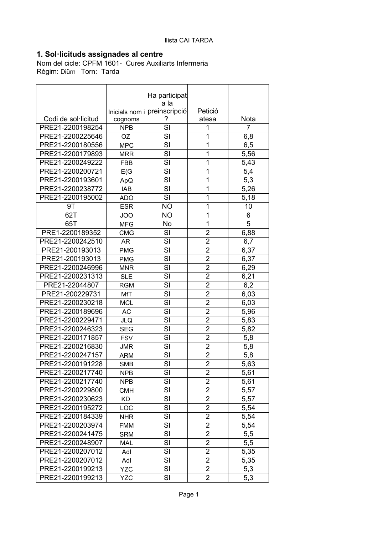## **1. Sol·licituds assignades al centre**

Nom del cicle: CPFM 1601- Cures Auxiliarts Infermeria Règim: Diürn Torn: Tarda

|                     |                       | Ha participat                |                  |      |
|---------------------|-----------------------|------------------------------|------------------|------|
|                     |                       | a la                         |                  |      |
| Codi de sol·licitud |                       | Inicials nom i preinscripció | Petició<br>atesa | Nota |
| PRE21-2200198254    | cognoms<br><b>NPB</b> | SI                           | 1                | 7    |
| PRE21-2200225646    | OZ                    | SI                           | 1                | 6,8  |
| PRE21-2200180556    | <b>MPC</b>            | SI                           | 1                | 6,5  |
| PRE21-2200179893    | <b>MRR</b>            | SI                           | 1                | 5,56 |
| PRE21-2200249222    | <b>FBB</b>            | SI                           | 1                | 5,43 |
| PRE21-2200200721    | E(G)                  | SI                           | 1                | 5,4  |
| PRE21-2200193601    |                       | SI                           | 1                | 5,3  |
| PRE21-2200238772    | ApQ                   | SI                           | 1                | 5,26 |
|                     | <b>IAB</b>            | SI                           | 1                |      |
| PRE21-2200195002    | <b>ADO</b>            |                              | 1                | 5,18 |
| 9T                  | <b>ESR</b>            | <b>NO</b>                    | 1                | 10   |
| 62T                 | JOO                   | <b>NO</b>                    |                  | 6    |
| 65T                 | <b>MFG</b>            | No                           | 1                | 5    |
| PRE1-2200189352     | <b>CMG</b>            | SI                           | $\overline{2}$   | 6,88 |
| PRE21-2200242510    | AR                    | SI                           | $\overline{2}$   | 6,7  |
| PRE21-200193013     | <b>PMG</b>            | SI                           | $\overline{2}$   | 6,37 |
| PRE21-200193013     | <b>PMG</b>            | SI                           | $\overline{2}$   | 6,37 |
| PRE21-2200246996    | <b>MNR</b>            | SI                           | $\overline{2}$   | 6,29 |
| PRE21-2200231313    | <b>SLE</b>            | SI                           | $\overline{2}$   | 6,21 |
| PRE21-22044807      | <b>RGM</b>            | SI                           | $\overline{2}$   | 6,2  |
| PRE21-200229731     | MfT                   | SI                           | $\overline{2}$   | 6,03 |
| PRE21-2200230218    | <b>MCL</b>            | SI                           | $\overline{2}$   | 6,03 |
| PRE21-2200189696    | <b>AC</b>             | SI                           | $\overline{2}$   | 5,96 |
| PRE21-2200229471    | <b>JLQ</b>            | SI                           | $\overline{2}$   | 5,83 |
| PRE21-2200246323    | <b>SEG</b>            | SI                           | $\overline{2}$   | 5,82 |
| PRE21-2200171857    | <b>FSV</b>            | SI                           | $\overline{2}$   | 5,8  |
| PRE21-2200216830    | <b>JMR</b>            | SI                           | $\overline{2}$   | 5,8  |
| PRE21-2200247157    | <b>ARM</b>            | SI                           | $\overline{2}$   | 5,8  |
| PRE21-2200191228    | <b>SMB</b>            | SI                           | $\overline{2}$   | 5,63 |
| PRE21-2200217740    | <b>NPB</b>            | SI                           | 2                | 5,61 |
| PRE21-2200217740    | <b>NPB</b>            | SI                           | $\overline{2}$   | 5,61 |
| PRE21-2200229800    | <b>CMH</b>            | SI                           | $\overline{2}$   | 5,57 |
| PRE21-2200230623    | <b>KD</b>             | SI                           | $\overline{2}$   | 5,57 |
| PRE21-2200195272    | LOC                   | SI                           | $\overline{2}$   | 5,54 |
| PRE21-2200184339    | <b>NHR</b>            | SI                           | $\overline{2}$   | 5,54 |
| PRE21-2200203974    | <b>FMM</b>            | SI                           | $\overline{2}$   | 5,54 |
| PRE21-2200241475    | <b>SRM</b>            | SI                           | $\overline{2}$   | 5,5  |
| PRE21-2200248907    | <b>MAL</b>            | SI                           | $\overline{2}$   | 5,5  |
| PRE21-2200207012    | Adl                   | SI                           | $\overline{2}$   | 5,35 |
| PRE21-2200207012    | Adl                   | SI                           | 2                | 5,35 |
| PRE21-2200199213    | <b>YZC</b>            | SI                           | $\overline{2}$   | 5,3  |
| PRE21-2200199213    | <b>YZC</b>            | SI                           | $\overline{2}$   | 5,3  |